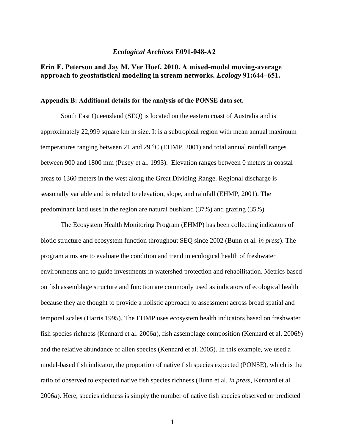## *Ecological Archives* **E091-048-A2**

## **Erin E. Peterson and Jay M. Ver Hoef. 2010. A mixed-model moving-average approach to geostatistical modeling in stream networks.** *Ecology* **91:644–651.**

## **Appendix B: Additional details for the analysis of the PONSE data set.**

South East Queensland (SEQ) is located on the eastern coast of Australia and is approximately 22,999 square km in size. It is a subtropical region with mean annual maximum temperatures ranging between 21 and 29 °C (EHMP, 2001) and total annual rainfall ranges between 900 and 1800 mm (Pusey et al. 1993). Elevation ranges between 0 meters in coastal areas to 1360 meters in the west along the Great Dividing Range. Regional discharge is seasonally variable and is related to elevation, slope, and rainfall (EHMP, 2001). The predominant land uses in the region are natural bushland (37%) and grazing (35%).

The Ecosystem Health Monitoring Program (EHMP) has been collecting indicators of biotic structure and ecosystem function throughout SEQ since 2002 (Bunn et al. *in press*). The program aims are to evaluate the condition and trend in ecological health of freshwater environments and to guide investments in watershed protection and rehabilitation. Metrics based on fish assemblage structure and function are commonly used as indicators of ecological health because they are thought to provide a holistic approach to assessment across broad spatial and temporal scales (Harris 1995). The EHMP uses ecosystem health indicators based on freshwater fish species richness (Kennard et al. 2006*a*), fish assemblage composition (Kennard et al. 2006*b*) and the relative abundance of alien species (Kennard et al. 2005). In this example, we used a model-based fish indicator, the proportion of native fish species expected (PONSE), which is the ratio of observed to expected native fish species richness (Bunn et al. *in press*, Kennard et al. 2006*a*). Here, species richness is simply the number of native fish species observed or predicted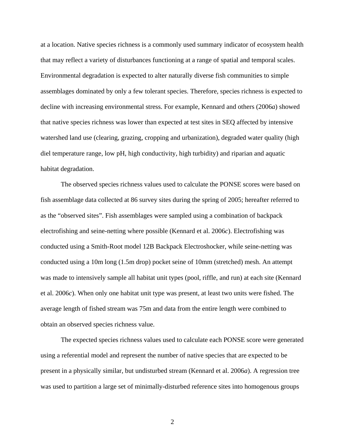at a location. Native species richness is a commonly used summary indicator of ecosystem health that may reflect a variety of disturbances functioning at a range of spatial and temporal scales. Environmental degradation is expected to alter naturally diverse fish communities to simple assemblages dominated by only a few tolerant species. Therefore, species richness is expected to decline with increasing environmental stress. For example, Kennard and others (2006*a*) showed that native species richness was lower than expected at test sites in SEQ affected by intensive watershed land use (clearing, grazing, cropping and urbanization), degraded water quality (high diel temperature range, low pH, high conductivity, high turbidity) and riparian and aquatic habitat degradation.

The observed species richness values used to calculate the PONSE scores were based on fish assemblage data collected at 86 survey sites during the spring of 2005; hereafter referred to as the "observed sites". Fish assemblages were sampled using a combination of backpack electrofishing and seine-netting where possible (Kennard et al. 2006*c*). Electrofishing was conducted using a Smith-Root model 12B Backpack Electroshocker, while seine-netting was conducted using a 10m long (1.5m drop) pocket seine of 10mm (stretched) mesh. An attempt was made to intensively sample all habitat unit types (pool, riffle, and run) at each site (Kennard et al. 2006*c*). When only one habitat unit type was present, at least two units were fished. The average length of fished stream was 75m and data from the entire length were combined to obtain an observed species richness value.

The expected species richness values used to calculate each PONSE score were generated using a referential model and represent the number of native species that are expected to be present in a physically similar, but undisturbed stream (Kennard et al. 2006*a*). A regression tree was used to partition a large set of minimally-disturbed reference sites into homogenous groups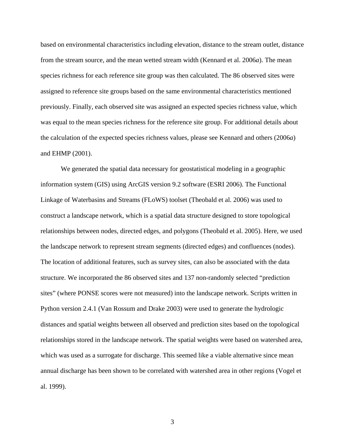based on environmental characteristics including elevation, distance to the stream outlet, distance from the stream source, and the mean wetted stream width (Kennard et al. 2006*a*). The mean species richness for each reference site group was then calculated. The 86 observed sites were assigned to reference site groups based on the same environmental characteristics mentioned previously. Finally, each observed site was assigned an expected species richness value, which was equal to the mean species richness for the reference site group. For additional details about the calculation of the expected species richness values, please see Kennard and others (2006*a*) and EHMP (2001).

We generated the spatial data necessary for geostatistical modeling in a geographic information system (GIS) using ArcGIS version 9.2 software (ESRI 2006). The Functional Linkage of Waterbasins and Streams (FLoWS) toolset (Theobald et al. 2006) was used to construct a landscape network, which is a spatial data structure designed to store topological relationships between nodes, directed edges, and polygons (Theobald et al. 2005). Here, we used the landscape network to represent stream segments (directed edges) and confluences (nodes). The location of additional features, such as survey sites, can also be associated with the data structure. We incorporated the 86 observed sites and 137 non-randomly selected "prediction sites" (where PONSE scores were not measured) into the landscape network. Scripts written in Python version 2.4.1 (Van Rossum and Drake 2003) were used to generate the hydrologic distances and spatial weights between all observed and prediction sites based on the topological relationships stored in the landscape network. The spatial weights were based on watershed area, which was used as a surrogate for discharge. This seemed like a viable alternative since mean annual discharge has been shown to be correlated with watershed area in other regions (Vogel et al. 1999).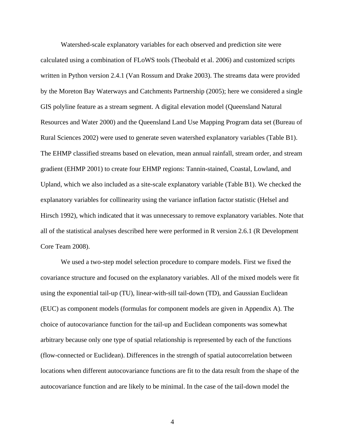Watershed-scale explanatory variables for each observed and prediction site were calculated using a combination of FLoWS tools (Theobald et al. 2006) and customized scripts written in Python version 2.4.1 (Van Rossum and Drake 2003). The streams data were provided by the Moreton Bay Waterways and Catchments Partnership (2005); here we considered a single GIS polyline feature as a stream segment. A digital elevation model (Queensland Natural Resources and Water 2000) and the Queensland Land Use Mapping Program data set (Bureau of Rural Sciences 2002) were used to generate seven watershed explanatory variables (Table B1). The EHMP classified streams based on elevation, mean annual rainfall, stream order, and stream gradient (EHMP 2001) to create four EHMP regions: Tannin-stained, Coastal, Lowland, and Upland, which we also included as a site-scale explanatory variable (Table B1). We checked the explanatory variables for collinearity using the variance inflation factor statistic (Helsel and Hirsch 1992), which indicated that it was unnecessary to remove explanatory variables. Note that all of the statistical analyses described here were performed in R version 2.6.1 (R Development Core Team 2008).

We used a two-step model selection procedure to compare models. First we fixed the covariance structure and focused on the explanatory variables. All of the mixed models were fit using the exponential tail-up (TU), linear-with-sill tail-down (TD), and Gaussian Euclidean (EUC) as component models (formulas for component models are given in Appendix A). The choice of autocovariance function for the tail-up and Euclidean components was somewhat arbitrary because only one type of spatial relationship is represented by each of the functions (flow-connected or Euclidean). Differences in the strength of spatial autocorrelation between locations when different autocovariance functions are fit to the data result from the shape of the autocovariance function and are likely to be minimal. In the case of the tail-down model the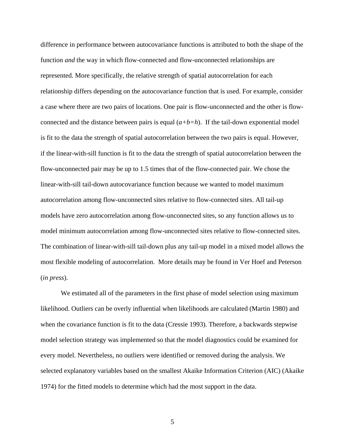difference in performance between autocovariance functions is attributed to both the shape of the function *and* the way in which flow-connected and flow-unconnected relationships are represented. More specifically, the relative strength of spatial autocorrelation for each relationship differs depending on the autocovariance function that is used. For example, consider a case where there are two pairs of locations. One pair is flow-unconnected and the other is flowconnected and the distance between pairs is equal (*a+b=h*). If the tail-down exponential model is fit to the data the strength of spatial autocorrelation between the two pairs is equal. However, if the linear-with-sill function is fit to the data the strength of spatial autocorrelation between the flow-unconnected pair may be up to 1.5 times that of the flow-connected pair. We chose the linear-with-sill tail-down autocovariance function because we wanted to model maximum autocorrelation among flow-unconnected sites relative to flow-connected sites. All tail-up models have zero autocorrelation among flow-unconnected sites, so any function allows us to model minimum autocorrelation among flow-unconnected sites relative to flow-connected sites. The combination of linear-with-sill tail-down plus any tail-up model in a mixed model allows the most flexible modeling of autocorrelation. More details may be found in Ver Hoef and Peterson (*in press*).

We estimated all of the parameters in the first phase of model selection using maximum likelihood. Outliers can be overly influential when likelihoods are calculated (Martin 1980) and when the covariance function is fit to the data (Cressie 1993). Therefore, a backwards stepwise model selection strategy was implemented so that the model diagnostics could be examined for every model. Nevertheless, no outliers were identified or removed during the analysis. We selected explanatory variables based on the smallest Akaike Information Criterion (AIC) (Akaike 1974) for the fitted models to determine which had the most support in the data.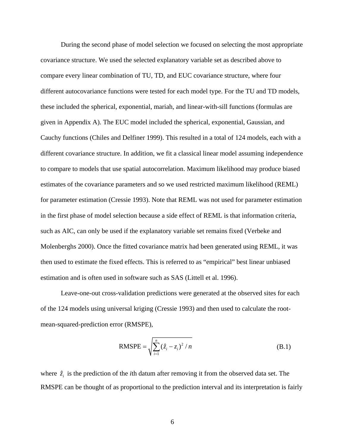During the second phase of model selection we focused on selecting the most appropriate covariance structure. We used the selected explanatory variable set as described above to compare every linear combination of TU, TD, and EUC covariance structure, where four different autocovariance functions were tested for each model type. For the TU and TD models, these included the spherical, exponential, mariah, and linear-with-sill functions (formulas are given in Appendix A). The EUC model included the spherical, exponential, Gaussian, and Cauchy functions (Chiles and Delfiner 1999). This resulted in a total of 124 models, each with a different covariance structure. In addition, we fit a classical linear model assuming independence to compare to models that use spatial autocorrelation. Maximum likelihood may produce biased estimates of the covariance parameters and so we used restricted maximum likelihood (REML) for parameter estimation (Cressie 1993). Note that REML was not used for parameter estimation in the first phase of model selection because a side effect of REML is that information criteria, such as AIC, can only be used if the explanatory variable set remains fixed (Verbeke and Molenberghs 2000). Once the fitted covariance matrix had been generated using REML, it was then used to estimate the fixed effects. This is referred to as "empirical" best linear unbiased estimation and is often used in software such as SAS (Littell et al. 1996).

Leave-one-out cross-validation predictions were generated at the observed sites for each of the 124 models using universal kriging (Cressie 1993) and then used to calculate the rootmean-squared-prediction error (RMSPE),

RMSPE = 
$$
\sqrt{\sum_{i=1}^{n} (\hat{z}_i - z_i)^2 / n}
$$
 (B.1)

where  $\hat{z}_i$  is the prediction of the *i*th datum after removing it from the observed data set. The RMSPE can be thought of as proportional to the prediction interval and its interpretation is fairly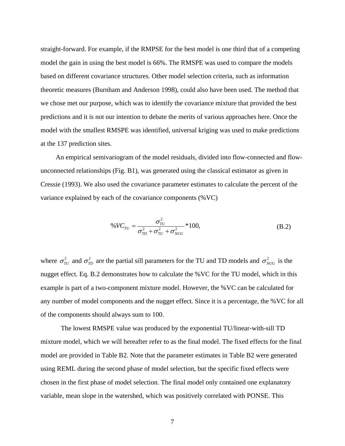straight-forward. For example, if the RMPSE for the best model is one third that of a competing model the gain in using the best model is 66%. The RMSPE was used to compare the models based on different covariance structures. Other model selection criteria, such as information theoretic measures (Burnham and Anderson 1998), could also have been used. The method that we chose met our purpose, which was to identify the covariance mixture that provided the best predictions and it is not our intention to debate the merits of various approaches here. Once the model with the smallest RMSPE was identified, universal kriging was used to make predictions at the 137 prediction sites.

 An empirical semivariogram of the model residuals, divided into flow-connected and flowunconnected relationships (Fig. B1), was generated using the classical estimator as given in Cressie (1993). We also used the covariance parameter estimates to calculate the percent of the variance explained by each of the covariance components (%VC)

$$
\%VC_{TU} = \frac{\sigma_{TU}^2}{\sigma_{TD}^2 + \sigma_{TU}^2 + \sigma_{NUG}^2} * 100,
$$
 (B.2)

where  $\sigma_{\tau U}^2$  and  $\sigma_{\tau D}^2$  are the partial sill parameters for the TU and TD models and  $\sigma_{NUG}^2$  is the nugget effect. Eq. B.2 demonstrates how to calculate the %VC for the TU model, which in this example is part of a two-component mixture model. However, the %VC can be calculated for any number of model components and the nugget effect. Since it is a percentage, the %VC for all of the components should always sum to 100.

 The lowest RMSPE value was produced by the exponential TU/linear-with-sill TD mixture model, which we will hereafter refer to as the final model. The fixed effects for the final model are provided in Table B2. Note that the parameter estimates in Table B2 were generated using REML during the second phase of model selection, but the specific fixed effects were chosen in the first phase of model selection. The final model only contained one explanatory variable, mean slope in the watershed, which was positively correlated with PONSE. This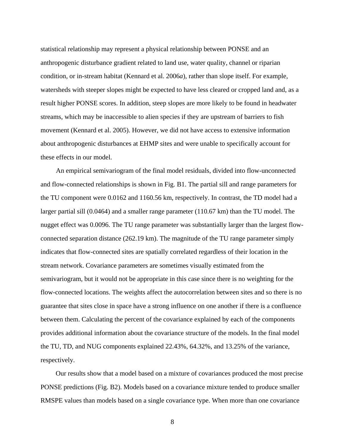statistical relationship may represent a physical relationship between PONSE and an anthropogenic disturbance gradient related to land use, water quality, channel or riparian condition, or in-stream habitat (Kennard et al. 2006*a*), rather than slope itself. For example, watersheds with steeper slopes might be expected to have less cleared or cropped land and, as a result higher PONSE scores. In addition, steep slopes are more likely to be found in headwater streams, which may be inaccessible to alien species if they are upstream of barriers to fish movement (Kennard et al. 2005). However, we did not have access to extensive information about anthropogenic disturbances at EHMP sites and were unable to specifically account for these effects in our model.

An empirical semivariogram of the final model residuals, divided into flow-unconnected and flow-connected relationships is shown in Fig. B1. The partial sill and range parameters for the TU component were 0.0162 and 1160.56 km, respectively. In contrast, the TD model had a larger partial sill (0.0464) and a smaller range parameter (110.67 km) than the TU model. The nugget effect was 0.0096. The TU range parameter was substantially larger than the largest flowconnected separation distance (262.19 km). The magnitude of the TU range parameter simply indicates that flow-connected sites are spatially correlated regardless of their location in the stream network. Covariance parameters are sometimes visually estimated from the semivariogram, but it would not be appropriate in this case since there is no weighting for the flow-connected locations. The weights affect the autocorrelation between sites and so there is no guarantee that sites close in space have a strong influence on one another if there is a confluence between them. Calculating the percent of the covariance explained by each of the components provides additional information about the covariance structure of the models. In the final model the TU, TD, and NUG components explained 22.43%, 64.32%, and 13.25% of the variance, respectively.

 Our results show that a model based on a mixture of covariances produced the most precise PONSE predictions (Fig. B2). Models based on a covariance mixture tended to produce smaller RMSPE values than models based on a single covariance type. When more than one covariance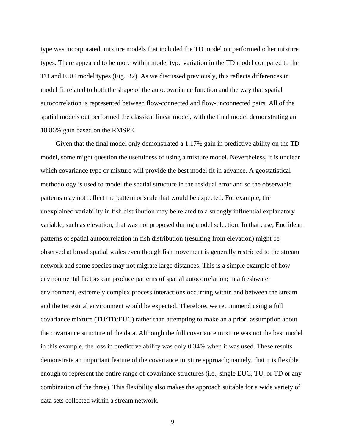type was incorporated, mixture models that included the TD model outperformed other mixture types. There appeared to be more within model type variation in the TD model compared to the TU and EUC model types (Fig. B2). As we discussed previously, this reflects differences in model fit related to both the shape of the autocovariance function and the way that spatial autocorrelation is represented between flow-connected and flow-unconnected pairs. All of the spatial models out performed the classical linear model, with the final model demonstrating an 18.86% gain based on the RMSPE.

 Given that the final model only demonstrated a 1.17% gain in predictive ability on the TD model, some might question the usefulness of using a mixture model. Nevertheless, it is unclear which covariance type or mixture will provide the best model fit in advance. A geostatistical methodology is used to model the spatial structure in the residual error and so the observable patterns may not reflect the pattern or scale that would be expected. For example, the unexplained variability in fish distribution may be related to a strongly influential explanatory variable, such as elevation, that was not proposed during model selection. In that case, Euclidean patterns of spatial autocorrelation in fish distribution (resulting from elevation) might be observed at broad spatial scales even though fish movement is generally restricted to the stream network and some species may not migrate large distances. This is a simple example of how environmental factors can produce patterns of spatial autocorrelation; in a freshwater environment, extremely complex process interactions occurring within and between the stream and the terrestrial environment would be expected. Therefore, we recommend using a full covariance mixture (TU/TD/EUC) rather than attempting to make an a priori assumption about the covariance structure of the data. Although the full covariance mixture was not the best model in this example, the loss in predictive ability was only 0.34% when it was used. These results demonstrate an important feature of the covariance mixture approach; namely, that it is flexible enough to represent the entire range of covariance structures (i.e., single EUC, TU, or TD or any combination of the three). This flexibility also makes the approach suitable for a wide variety of data sets collected within a stream network.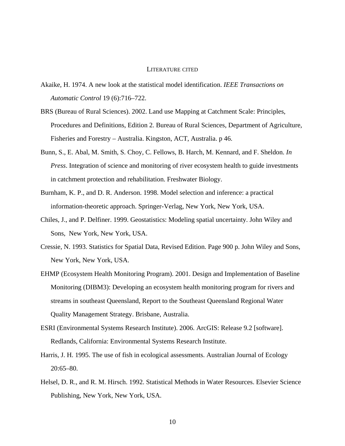## LITERATURE CITED

- Akaike, H. 1974. A new look at the statistical model identification. *IEEE Transactions on Automatic Control* 19 (6):716–722.
- BRS (Bureau of Rural Sciences). 2002. Land use Mapping at Catchment Scale: Principles, Procedures and Definitions, Edition 2. Bureau of Rural Sciences, Department of Agriculture, Fisheries and Forestry – Australia. Kingston, ACT, Australia. p 46.
- Bunn, S., E. Abal, M. Smith, S. Choy, C. Fellows, B. Harch, M. Kennard, and F. Sheldon. *In Press*. Integration of science and monitoring of river ecosystem health to guide investments in catchment protection and rehabilitation. Freshwater Biology.
- Burnham, K. P., and D. R. Anderson. 1998. Model selection and inference: a practical information-theoretic approach. Springer-Verlag, New York, New York, USA.
- Chiles, J., and P. Delfiner. 1999. Geostatistics: Modeling spatial uncertainty. John Wiley and Sons, New York, New York, USA.
- Cressie, N. 1993. Statistics for Spatial Data, Revised Edition. Page 900 p. John Wiley and Sons, New York, New York, USA.
- EHMP (Ecosystem Health Monitoring Program). 2001. Design and Implementation of Baseline Monitoring (DIBM3): Developing an ecosystem health monitoring program for rivers and streams in southeast Queensland, Report to the Southeast Queensland Regional Water Quality Management Strategy. Brisbane, Australia.
- ESRI (Environmental Systems Research Institute). 2006. ArcGIS: Release 9.2 [software]. Redlands, California: Environmental Systems Research Institute.
- Harris, J. H. 1995. The use of fish in ecological assessments. Australian Journal of Ecology 20:65–80.
- Helsel, D. R., and R. M. Hirsch. 1992. Statistical Methods in Water Resources. Elsevier Science Publishing, New York, New York, USA.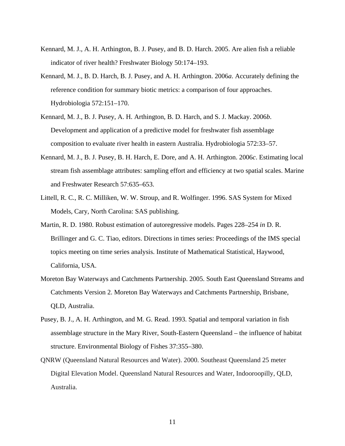- Kennard, M. J., A. H. Arthington, B. J. Pusey, and B. D. Harch. 2005. Are alien fish a reliable indicator of river health? Freshwater Biology 50:174–193.
- Kennard, M. J., B. D. Harch, B. J. Pusey, and A. H. Arthington. 2006*a*. Accurately defining the reference condition for summary biotic metrics: a comparison of four approaches. Hydrobiologia 572:151–170.
- Kennard, M. J., B. J. Pusey, A. H. Arthington, B. D. Harch, and S. J. Mackay. 2006*b*. Development and application of a predictive model for freshwater fish assemblage composition to evaluate river health in eastern Australia. Hydrobiologia 572:33–57.
- Kennard, M. J., B. J. Pusey, B. H. Harch, E. Dore, and A. H. Arthington. 2006*c*. Estimating local stream fish assemblage attributes: sampling effort and efficiency at two spatial scales. Marine and Freshwater Research 57:635–653.
- Littell, R. C., R. C. Milliken, W. W. Stroup, and R. Wolfinger. 1996. SAS System for Mixed Models, Cary, North Carolina: SAS publishing.
- Martin, R. D. 1980. Robust estimation of autoregressive models. Pages 228–254 *in* D. R. Brillinger and G. C. Tiao, editors. Directions in times series: Proceedings of the IMS special topics meeting on time series analysis. Institute of Mathematical Statistical, Haywood, California, USA.
- Moreton Bay Waterways and Catchments Partnership. 2005. South East Queensland Streams and Catchments Version 2. Moreton Bay Waterways and Catchments Partnership, Brisbane, QLD, Australia.
- Pusey, B. J., A. H. Arthington, and M. G. Read. 1993. Spatial and temporal variation in fish assemblage structure in the Mary River, South-Eastern Queensland – the influence of habitat structure. Environmental Biology of Fishes 37:355–380.
- QNRW (Queensland Natural Resources and Water). 2000. Southeast Queensland 25 meter Digital Elevation Model. Queensland Natural Resources and Water, Indooroopilly, QLD, Australia.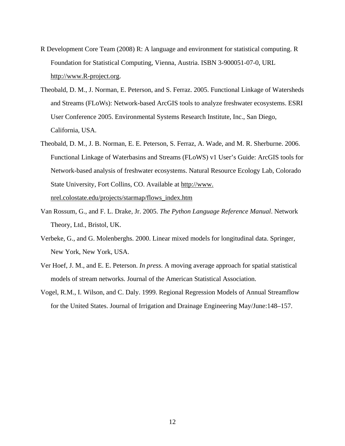- R Development Core Team (2008) R: A language and environment for statistical computing. R Foundation for Statistical Computing, Vienna, Austria. ISBN 3-900051-07-0, URL http://www.R-project.org.
- Theobald, D. M., J. Norman, E. Peterson, and S. Ferraz. 2005. Functional Linkage of Watersheds and Streams (FLoWs): Network-based ArcGIS tools to analyze freshwater ecosystems. ESRI User Conference 2005. Environmental Systems Research Institute, Inc., San Diego, California, USA.
- Theobald, D. M., J. B. Norman, E. E. Peterson, S. Ferraz, A. Wade, and M. R. Sherburne. 2006. Functional Linkage of Waterbasins and Streams (FLoWS) v1 User's Guide: ArcGIS tools for Network-based analysis of freshwater ecosystems. Natural Resource Ecology Lab, Colorado State University, Fort Collins, CO. Available at http://www. nrel.colostate.edu/projects/starmap/flows\_index.htm
- Van Rossum, G., and F. L. Drake, Jr. 2005. *The Python Language Reference Manual*. Network Theory, Ltd., Bristol, UK.
- Verbeke, G., and G. Molenberghs. 2000. Linear mixed models for longitudinal data. Springer, New York, New York, USA.
- Ver Hoef, J. M., and E. E. Peterson. *In press*. A moving average approach for spatial statistical models of stream networks. Journal of the American Statistical Association.
- Vogel, R.M., I. Wilson, and C. Daly. 1999. Regional Regression Models of Annual Streamflow for the United States. Journal of Irrigation and Drainage Engineering May/June:148–157.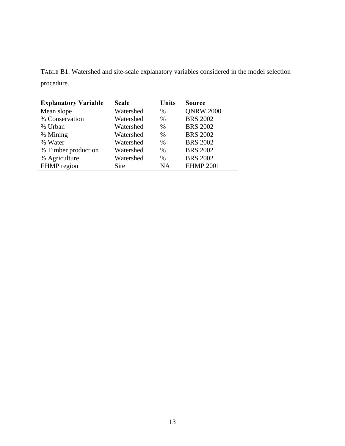TABLE B1. Watershed and site-scale explanatory variables considered in the model selection procedure.

| <b>Explanatory Variable</b> | <b>Scale</b> | <b>Units</b> | <b>Source</b>    |  |
|-----------------------------|--------------|--------------|------------------|--|
| Mean slope                  | Watershed    | $\%$         | <b>QNRW 2000</b> |  |
| % Conservation              | Watershed    | $\%$         | <b>BRS 2002</b>  |  |
| % Urban                     | Watershed    | $\%$         | <b>BRS 2002</b>  |  |
| % Mining                    | Watershed    | $\%$         | <b>BRS 2002</b>  |  |
| % Water                     | Watershed    | %            | <b>BRS 2002</b>  |  |
| % Timber production         | Watershed    | $\%$         | <b>BRS 2002</b>  |  |
| % Agriculture               | Watershed    | $\%$         | <b>BRS 2002</b>  |  |
| <b>EHMP</b> region          | Site         | NA           | <b>EHMP 2001</b> |  |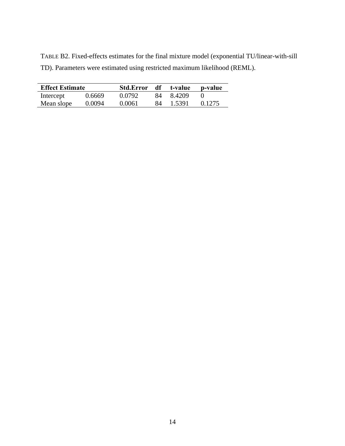TABLE B2. Fixed-effects estimates for the final mixture model (exponential TU/linear-with-sill TD). Parameters were estimated using restricted maximum likelihood (REML).

| <b>Effect Estimate</b> |        | Std.Error df t-value |     |        | p-value |
|------------------------|--------|----------------------|-----|--------|---------|
| Intercept              | 0.6669 | 0.0792               | 84. | 8.4209 |         |
| Mean slope             | 0.0094 | 0.0061               | 84  | 1.5391 | 0.1275  |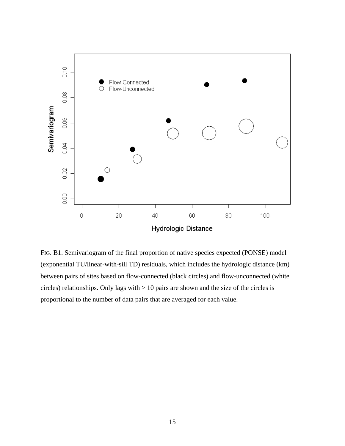

FIG. B1. Semivariogram of the final proportion of native species expected (PONSE) model (exponential TU/linear-with-sill TD) residuals, which includes the hydrologic distance (km) between pairs of sites based on flow-connected (black circles) and flow-unconnected (white circles) relationships. Only lags with > 10 pairs are shown and the size of the circles is proportional to the number of data pairs that are averaged for each value.